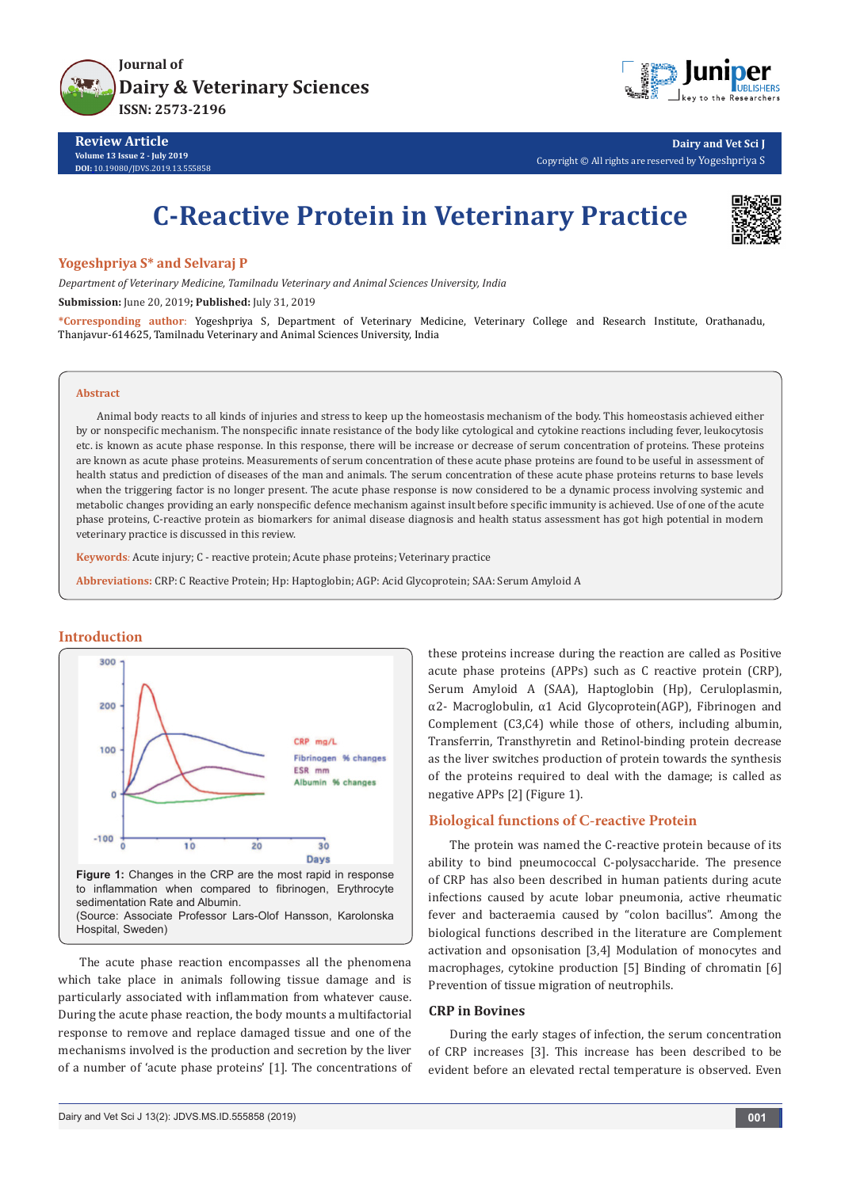



**Dairy and Vet Sci J** Copyright © All rights are reserved by Yogeshpriya S

# **C-Reactive Protein in Veterinary Practice**



#### **Yogeshpriya S\* and Selvaraj P**

*Department of Veterinary Medicine, Tamilnadu Veterinary and Animal Sciences University, India*

**Submission:** June 20, 2019**; Published:** July 31, 2019

**\*Corresponding author**: Yogeshpriya S, Department of Veterinary Medicine, Veterinary College and Research Institute, Orathanadu, Thanjavur-614625, Tamilnadu Veterinary and Animal Sciences University, India

#### **Abstract**

Animal body reacts to all kinds of injuries and stress to keep up the homeostasis mechanism of the body. This homeostasis achieved either by or nonspecific mechanism. The nonspecific innate resistance of the body like cytological and cytokine reactions including fever, leukocytosis etc. is known as acute phase response. In this response, there will be increase or decrease of serum concentration of proteins. These proteins are known as acute phase proteins. Measurements of serum concentration of these acute phase proteins are found to be useful in assessment of health status and prediction of diseases of the man and animals. The serum concentration of these acute phase proteins returns to base levels when the triggering factor is no longer present. The acute phase response is now considered to be a dynamic process involving systemic and metabolic changes providing an early nonspecific defence mechanism against insult before specific immunity is achieved. Use of one of the acute phase proteins, C-reactive protein as biomarkers for animal disease diagnosis and health status assessment has got high potential in modern veterinary practice is discussed in this review.

**Keywords***:* Acute injury; C - reactive protein; Acute phase proteins; Veterinary practice

**Abbreviations:** CRP: C Reactive Protein; Hp: Haptoglobin; AGP: Acid Glycoprotein; SAA: Serum Amyloid A

## **Introduction**



The acute phase reaction encompasses all the phenomena which take place in animals following tissue damage and is particularly associated with inflammation from whatever cause. During the acute phase reaction, the body mounts a multifactorial response to remove and replace damaged tissue and one of the mechanisms involved is the production and secretion by the liver of a number of 'acute phase proteins' [1]. The concentrations of these proteins increase during the reaction are called as Positive acute phase proteins (APPs) such as C reactive protein (CRP), Serum Amyloid A (SAA), Haptoglobin (Hp), Ceruloplasmin, α2- Macroglobulin, α1 Acid Glycoprotein(AGP), Fibrinogen and Complement (C3,C4) while those of others, including albumin, Transferrin, Transthyretin and Retinol-binding protein decrease as the liver switches production of protein towards the synthesis of the proteins required to deal with the damage; is called as negative APPs [2] (Figure 1).

## **Biological functions of C-reactive Protein**

The protein was named the C-reactive protein because of its ability to bind pneumococcal C-polysaccharide. The presence of CRP has also been described in human patients during acute infections caused by acute lobar pneumonia, active rheumatic fever and bacteraemia caused by "colon bacillus". Among the biological functions described in the literature are Complement activation and opsonisation [3,4] Modulation of monocytes and macrophages, cytokine production [5] Binding of chromatin [6] Prevention of tissue migration of neutrophils.

# **CRP in Bovines**

During the early stages of infection, the serum concentration of CRP increases [3]. This increase has been described to be evident before an elevated rectal temperature is observed. Even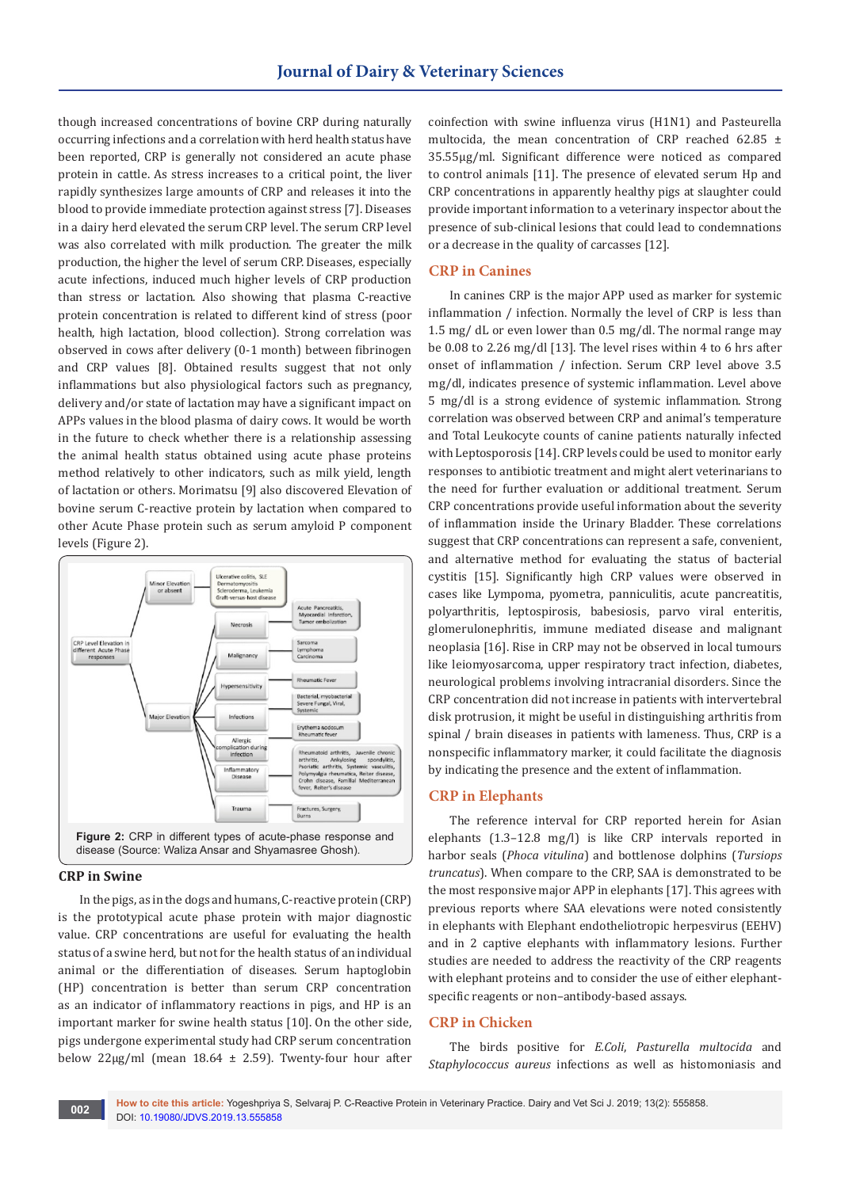though increased concentrations of bovine CRP during naturally occurring infections and a correlation with herd health status have been reported, CRP is generally not considered an acute phase protein in cattle. As stress increases to a critical point, the liver rapidly synthesizes large amounts of CRP and releases it into the blood to provide immediate protection against stress [7]. Diseases in a dairy herd elevated the serum CRP level. The serum CRP level was also correlated with milk production. The greater the milk production, the higher the level of serum CRP. Diseases, especially acute infections, induced much higher levels of CRP production than stress or lactation. Also showing that plasma C-reactive protein concentration is related to different kind of stress (poor health, high lactation, blood collection). Strong correlation was observed in cows after delivery (0-1 month) between fibrinogen and CRP values [8]. Obtained results suggest that not only inflammations but also physiological factors such as pregnancy, delivery and/or state of lactation may have a significant impact on APPs values in the blood plasma of dairy cows. It would be worth in the future to check whether there is a relationship assessing the animal health status obtained using acute phase proteins method relatively to other indicators, such as milk yield, length of lactation or others. Morimatsu [9] also discovered Elevation of bovine serum C-reactive protein by lactation when compared to other Acute Phase protein such as serum amyloid P component levels (Figure 2).



## **CRP in Swine**

In the pigs, as in the dogs and humans, C-reactive protein (CRP) is the prototypical acute phase protein with major diagnostic value. CRP concentrations are useful for evaluating the health status of a swine herd, but not for the health status of an individual animal or the differentiation of diseases. Serum haptoglobin (HP) concentration is better than serum CRP concentration as an indicator of inflammatory reactions in pigs, and HP is an important marker for swine health status [10]. On the other side, pigs undergone experimental study had CRP serum concentration below  $22\mu$ g/ml (mean 18.64  $\pm$  2.59). Twenty-four hour after

coinfection with swine influenza virus (H1N1) and Pasteurella multocida, the mean concentration of CRP reached 62.85 ± 35.55μg/ml. Significant difference were noticed as compared to control animals [11]. The presence of elevated serum Hp and CRP concentrations in apparently healthy pigs at slaughter could provide important information to a veterinary inspector about the presence of sub-clinical lesions that could lead to condemnations or a decrease in the quality of carcasses [12].

# **CRP in Canines**

In canines CRP is the major APP used as marker for systemic inflammation / infection. Normally the level of CRP is less than 1.5 mg/ dL or even lower than 0.5 mg/dl. The normal range may be 0.08 to 2.26 mg/dl [13]. The level rises within 4 to 6 hrs after onset of inflammation / infection. Serum CRP level above 3.5 mg/dl, indicates presence of systemic inflammation. Level above 5 mg/dl is a strong evidence of systemic inflammation. Strong correlation was observed between CRP and animal's temperature and Total Leukocyte counts of canine patients naturally infected with Leptosporosis [14]. CRP levels could be used to monitor early responses to antibiotic treatment and might alert veterinarians to the need for further evaluation or additional treatment. Serum CRP concentrations provide useful information about the severity of inflammation inside the Urinary Bladder. These correlations suggest that CRP concentrations can represent a safe, convenient, and alternative method for evaluating the status of bacterial cystitis [15]. Significantly high CRP values were observed in cases like Lympoma, pyometra, panniculitis, acute pancreatitis, polyarthritis, leptospirosis, babesiosis, parvo viral enteritis, glomerulonephritis, immune mediated disease and malignant neoplasia [16]. Rise in CRP may not be observed in local tumours like leiomyosarcoma, upper respiratory tract infection, diabetes, neurological problems involving intracranial disorders. Since the CRP concentration did not increase in patients with intervertebral disk protrusion, it might be useful in distinguishing arthritis from spinal / brain diseases in patients with lameness. Thus, CRP is a nonspecific inflammatory marker, it could facilitate the diagnosis by indicating the presence and the extent of inflammation.

## **CRP in Elephants**

The reference interval for CRP reported herein for Asian elephants (1.3–12.8 mg/l) is like CRP intervals reported in harbor seals (*Phoca vitulina*) and bottlenose dolphins (*Tursiops truncatus*). When compare to the CRP, SAA is demonstrated to be the most responsive major APP in elephants [17]. This agrees with previous reports where SAA elevations were noted consistently in elephants with Elephant endotheliotropic herpesvirus (EEHV) and in 2 captive elephants with inflammatory lesions. Further studies are needed to address the reactivity of the CRP reagents with elephant proteins and to consider the use of either elephantspecific reagents or non–antibody-based assays.

# **CRP in Chicken**

The birds positive for *E.Coli*, *Pasturella multocida* and *Staphylococcus aureus* infections as well as histomoniasis and